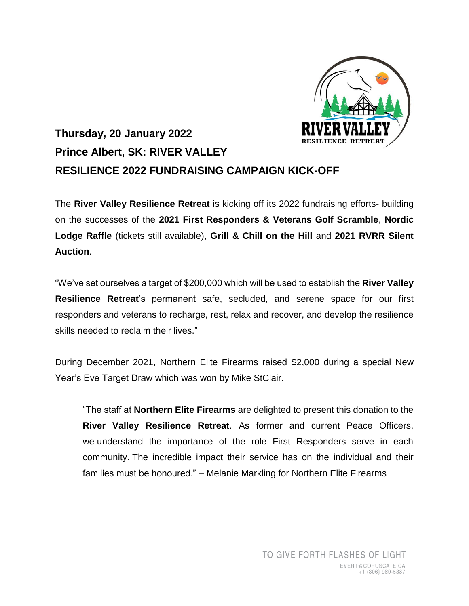

## **Thursday, 20 January 2022 Prince Albert, SK: RIVER VALLEY RESILIENCE 2022 FUNDRAISING CAMPAIGN KICK-OFF**

The **River Valley Resilience Retreat** is kicking off its 2022 fundraising efforts- building on the successes of the **2021 First Responders & Veterans Golf Scramble**, **Nordic Lodge Raffle** (tickets still available), **Grill & Chill on the Hill** and **2021 RVRR Silent Auction**.

"We've set ourselves a target of \$200,000 which will be used to establish the **River Valley Resilience Retreat**'s permanent safe, secluded, and serene space for our first responders and veterans to recharge, rest, relax and recover, and develop the resilience skills needed to reclaim their lives."

During December 2021, Northern Elite Firearms raised \$2,000 during a special New Year's Eve Target Draw which was won by Mike StClair.

"The staff at **Northern Elite Firearms** are delighted to present this donation to the **River Valley Resilience Retreat**. As former and current Peace Officers, we understand the importance of the role First Responders serve in each community. The incredible impact their service has on the individual and their families must be honoured." – Melanie Markling for Northern Elite Firearms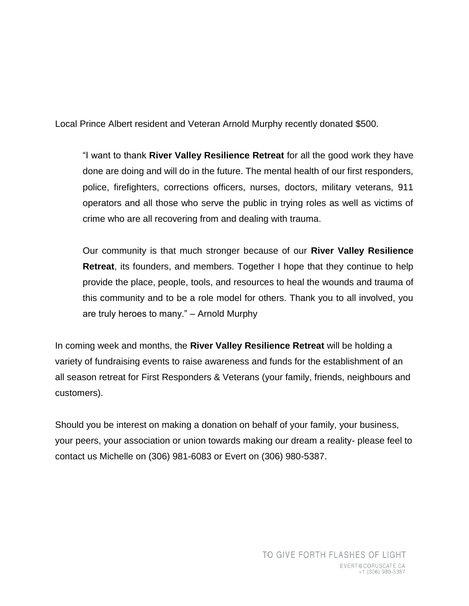Local Prince Albert resident and Veteran Arnold Murphy recently donated \$500.

"I want to thank **River Valley Resilience Retreat** for all the good work they have done are doing and will do in the future. The mental health of our first responders, police, firefighters, corrections officers, nurses, doctors, military veterans, 911 operators and all those who serve the public in trying roles as well as victims of crime who are all recovering from and dealing with trauma.

Our community is that much stronger because of our **River Valley Resilience Retreat**, its founders, and members. Together I hope that they continue to help provide the place, people, tools, and resources to heal the wounds and trauma of this community and to be a role model for others. Thank you to all involved, you are truly heroes to many." – Arnold Murphy

In coming week and months, the **River Valley Resilience Retreat** will be holding a variety of fundraising events to raise awareness and funds for the establishment of an all season retreat for First Responders & Veterans (your family, friends, neighbours and customers).

Should you be interest on making a donation on behalf of your family, your business, your peers, your association or union towards making our dream a reality- please feel to contact us Michelle on (306) 981-6083 or Evert on (306) 980-5387.